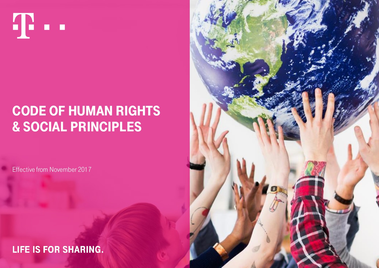

# **CODE OF HUMAN RIGHTS** & social principles

Effective from November 2017

# **LIFE IS FOR SHARING.**

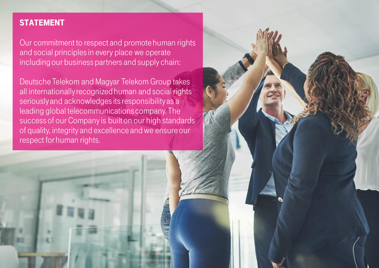## **STATEMENT**

Our commitment to respect and promote human rights and social principles in every place we operate including our business partners and supply chain:

Deutsche Telekom and Magyar Telekom Group takes all internationally recognized human and social rights seriously and acknowledges its responsibility as a leading global telecommunications company. The success of our Company is built on our high standards of quality, integrity and excellence and we ensure our respect for human rights.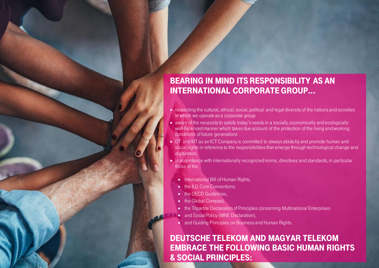# Bearing in mind its responsibility as an international corporate group...

- respecting the cultural, ethical, social, political and legal diversity of the nations and societies in which we operate as a corporate group
- aware of the necessity to satisfy today's needs in a socially, economically and ecologically well-balanced manner which takes due account of the protection of the living and working conditions of future generations
- DT and MT as an ICT Company is committed to always abide by and promote human and social rights in reference to the responsibilities that emerge through technological change and digitization.
- **in accordance with internationally recognized norms, directives and standards, in particular** those of the
	- **International Bill of Human Rights,**
	- the ILO Core Conventions,
	- the OECD Guidelines,
	- the Global Compact,
	- the Tripartite Declaration of Principles concerning Multinational Enterprises
	- **and Social Policy (MNE Declaration),**
	- and Guiding Principles on Business and Human Rights.

## Deutsche Telekom and magyar telekom embrace the following Basic Human Rights & Social Principles: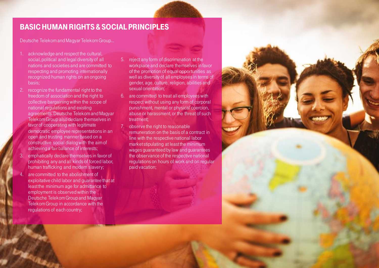#### Basic Human Rights & Social Principles

Deutsche Telekomand Magyar Telekom Group…

- 1. acknowledge and respect the cultural, social, political and legal diversity of all nations and societies and are committed to respecting and promoting internationally recognized human rights on an ongoing basis;
- 2. recognize the fundamental right to the freedom of association and the right to collective bargaining within the scope of national regulations and existing agreements. Deutsche Telekomand Magyar Telekom Group also declare themselvesin favor of cooperating with legitimate democratic employee representations in an open and trusting manner based on a constructive social dialog with the aim of achieving a fair balance of interests;
- 3. emphatically declare themselvesin favor of prohibiting any and all kinds of forced labor, human trafficking and modern slavery;
- are committed to the abolishment of exploitative child labor and guarantee that at least the minimum age for admittance to employment is observed within the Deutsche Telekom Group and Magyar Telekom Group in accordance with the regulations of each country;
- 5. reject any form of discrimination at the workplace and declare themselvesin favor of the promotion of equal opportunities as well as diversity of all employees in terms of gender, age, culture, religion, abilities and sexual orientation;
- 6. are committed to treat all employees with respect without using any form of corporal punishment, mental or physical coercion, abuse or harassment, or the threat of such treatment;
- 7. observe the right to reasonable
	- remuneration on the basis of a contract in line with the respective national labor market stipulating at least the minimum wages guaranteed by law and guarantees the observance of the respective national regulations on hours of work and on regular paid vacation;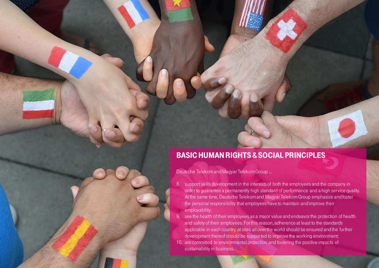#### Basic Human Rights & Social Principles

Deutsche Telekomand Magyar Telekom Group …

- 8. support skills development in the interests of both the employees and the company in order to guarantee a permanently high standard of performance and a high service quality. At the same time, Deutsche Telekomand Magyar Telekom Group emphasize and foster the personal responsibility that employees have to maintain and improve their employability;
- 9. see the health of their employees as a major value and endeavor the protection of health and safety of their employees. For this reason, adherence at least to the standards applicable in each country at sites all over the world should be ensured and the further development thereof should be supported to improve the working environment;
- 10. are committed to environmental protection and fostering the positive impacts of sustainability in business.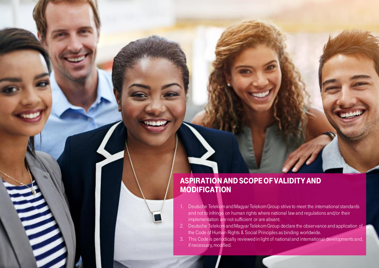

#### Aspiration and scope of validity and **MODIFICATION**

- 1. Deutsche Telekomand Magyar Telekom Group strive to meet the international standards and not to infringe on human rights where national law and regulations and/or their implementation are not sufficient or are absent.
- 2. Deutsche Telekomand Magyar Telekom Group declare the observance and application of the Code of Human Rights & Social Principles as binding worldwide.
- 3. This Code is periodically reviewed in light of national and international developments and, if necessary, modified.